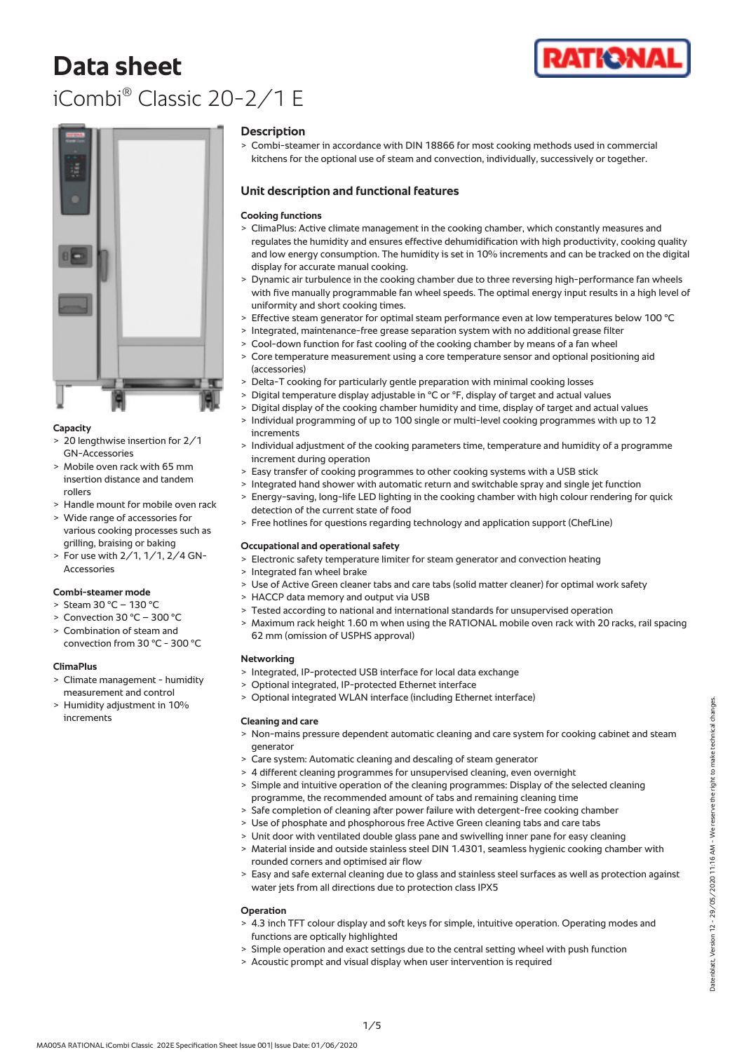# **Data sheet** iCombi® Classic 20-2/1 E





## **Capacity**

- > 20 lengthwise insertion for 2/1 GN-Accessories
- > Mobile oven rack with 65 mm insertion distance and tandem rollers
- > Handle mount for mobile oven rack
- > Wide range of accessories for various cooking processes such as grilling, braising or baking
- > For use with 2/1, 1/1, 2/4 GN-Accessories

## **Combi-steamer mode**

- > Steam 30 °C 130 °C
- > Convection 30 °C 300 °C
- Combination of steam and convection from 30 °C - 300 °C

## **ClimaPlus**

- > Climate management humidity measurement and control
- > Humidity adjustment in 10% increments

#### **Description**

> Combi-steamer in accordance with DIN 18866 for most cooking methods used in commercial kitchens for the optional use of steam and convection, individually, successively or together.

## **Unit description and functional features**

## **Cooking functions**

- > ClimaPlus: Active climate management in the cooking chamber, which constantly measures and regulates the humidity and ensures effective dehumidification with high productivity, cooking quality and low energy consumption. The humidity is set in 10% increments and can be tracked on the digital display for accurate manual cooking.
- > Dynamic air turbulence in the cooking chamber due to three reversing high-performance fan wheels with five manually programmable fan wheel speeds. The optimal energy input results in a high level of uniformity and short cooking times.
- > Effective steam generator for optimal steam performance even at low temperatures below 100 °C
- > Integrated, maintenance-free grease separation system with no additional grease filter
- > Cool-down function for fast cooling of the cooking chamber by means of a fan wheel
- > Core temperature measurement using a core temperature sensor and optional positioning aid (accessories)
- > Delta-T cooking for particularly gentle preparation with minimal cooking losses
- > Digital temperature display adjustable in °C or °F, display of target and actual values
- > Digital display of the cooking chamber humidity and time, display of target and actual values
- > Individual programming of up to 100 single or multi-level cooking programmes with up to 12 increments
- > Individual adjustment of the cooking parameters time, temperature and humidity of a programme increment during operation
- > Easy transfer of cooking programmes to other cooking systems with a USB stick
- > Integrated hand shower with automatic return and switchable spray and single jet function > Energy-saving, long-life LED lighting in the cooking chamber with high colour rendering for quick
- detection of the current state of food
- > Free hotlines for questions regarding technology and application support (ChefLine)

## **Occupational and operational safety**

- > Electronic safety temperature limiter for steam generator and convection heating
- > Integrated fan wheel brake
- > Use of Active Green cleaner tabs and care tabs (solid matter cleaner) for optimal work safety
- > HACCP data memory and output via USB
- > Tested according to national and international standards for unsupervised operation
- > Maximum rack height 1.60 m when using the RATIONAL mobile oven rack with 20 racks, rail spacing 62 mm (omission of USPHS approval)

## **Networking**

- > Integrated, IP-protected USB interface for local data exchange
- > Optional integrated, IP-protected Ethernet interface
- > Optional integrated WLAN interface (including Ethernet interface)

## **Cleaning and care**

- > Non-mains pressure dependent automatic cleaning and care system for cooking cabinet and steam generator
- > Care system: Automatic cleaning and descaling of steam generator
- > 4 different cleaning programmes for unsupervised cleaning, even overnight
- Simple and intuitive operation of the cleaning programmes: Display of the selected cleaning programme, the recommended amount of tabs and remaining cleaning time
- > Safe completion of cleaning after power failure with detergent-free cooking chamber
- > Use of phosphate and phosphorous free Active Green cleaning tabs and care tabs
- > Unit door with ventilated double glass pane and swivelling inner pane for easy cleaning
- > Material inside and outside stainless steel DIN 1.4301, seamless hygienic cooking chamber with rounded corners and optimised air flow
- > Easy and safe external cleaning due to glass and stainless steel surfaces as well as protection against water jets from all directions due to protection class IPX5

## **Operation**

- > 4.3 inch TFT colour display and soft keys for simple, intuitive operation. Operating modes and functions are optically highlighted
- > Simple operation and exact settings due to the central setting wheel with push function
- > Acoustic prompt and visual display when user intervention is required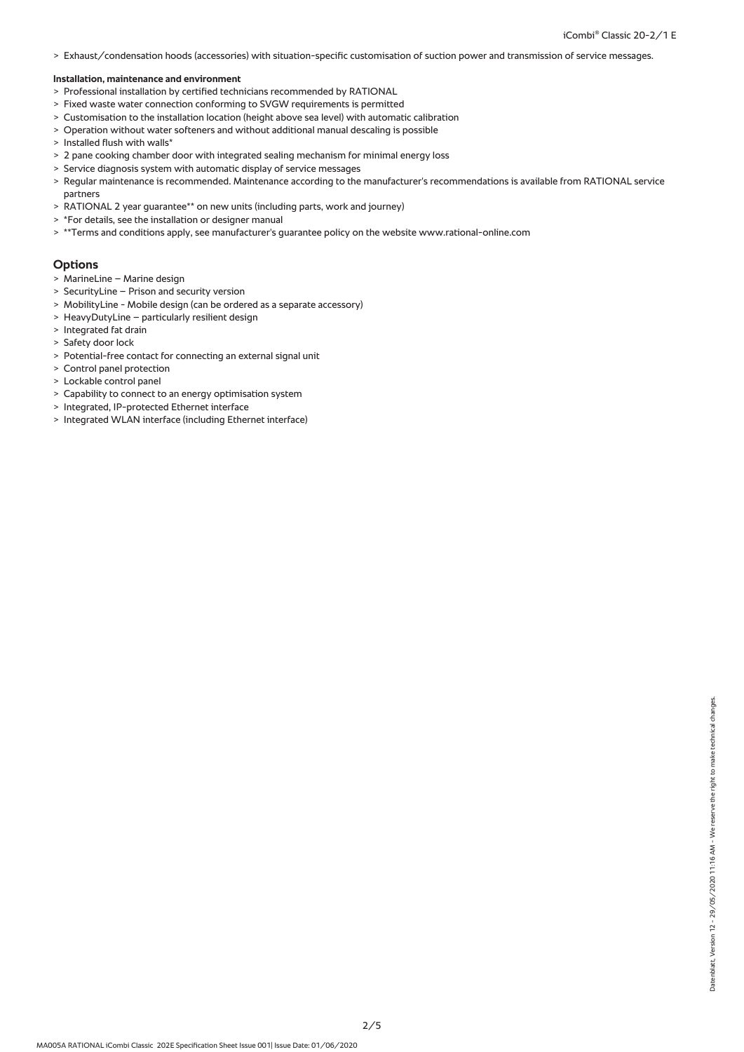> Exhaust/condensation hoods (accessories) with situation-specific customisation of suction power and transmission of service messages.

#### **Installation, maintenance and environment**

- > Professional installation by certified technicians recommended by RATIONAL
- > Fixed waste water connection conforming to SVGW requirements is permitted
- > Customisation to the installation location (height above sea level) with automatic calibration
- > Operation without water softeners and without additional manual descaling is possible
- > Installed flush with walls\*
- > 2 pane cooking chamber door with integrated sealing mechanism for minimal energy loss
- > Service diagnosis system with automatic display of service messages
- > Regular maintenance is recommended. Maintenance according to the manufacturer's recommendations is available from RATIONAL service partners
- > RATIONAL 2 year guarantee\*\* on new units (including parts, work and journey)
- > \*For details, see the installation or designer manual
- > \*\*Terms and conditions apply, see manufacturer's guarantee policy on the website www.rational-online.com

#### **Options**

- > MarineLine Marine design
- > SecurityLine Prison and security version
- > MobilityLine Mobile design (can be ordered as a separate accessory)
- > HeavyDutyLine particularly resilient design
- > Integrated fat drain
- > Safety door lock
- > Potential-free contact for connecting an external signal unit
- > Control panel protection
- > Lockable control panel
- > Capability to connect to an energy optimisation system
- > Integrated, IP-protected Ethernet interface
- > Integrated WLAN interface (including Ethernet interface)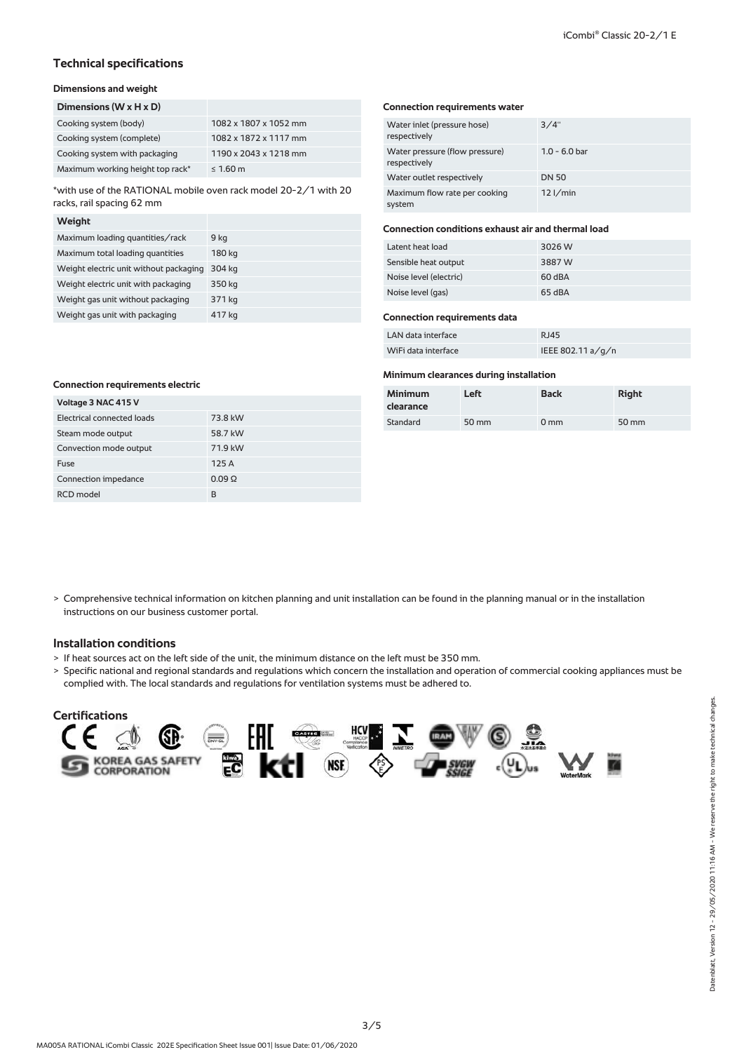## **Technical specifications**

## **Dimensions and weight**

| Dimensions $(W \times H \times D)$ |                       |
|------------------------------------|-----------------------|
| Cooking system (body)              | 1082 x 1807 x 1052 mm |
| Cooking system (complete)          | 1082 x 1872 x 1117 mm |
| Cooking system with packaging      | 1190 x 2043 x 1218 mm |
| Maximum working height top rack*   | $\leq 1.60$ m         |

\*with use of the RATIONAL mobile oven rack model 20-2/1 with 20 racks, rail spacing 62 mm

#### **Weight**

| Maximum loading quantities/rack        | 9 kg   |
|----------------------------------------|--------|
| Maximum total loading quantities       | 180 kg |
| Weight electric unit without packaging | 304 kg |
| Weight electric unit with packaging    | 350 kg |
| Weight gas unit without packaging      | 371 kg |
| Weight gas unit with packaging         | 417 kg |

#### **Connection requirements water**

| Water inlet (pressure hose)<br>respectively    | 3/4"            |
|------------------------------------------------|-----------------|
| Water pressure (flow pressure)<br>respectively | $1.0 - 6.0$ bar |
| Water outlet respectively                      | <b>DN 50</b>    |
| Maximum flow rate per cooking<br>system        | $12$ I/min      |

## **Connection conditions exhaust air and thermal load**

| Latent heat load       | 3026 W |
|------------------------|--------|
| Sensible heat output   | 3887 W |
| Noise level (electric) | 60 dBA |
| Noise level (gas)      | 65 dBA |

#### **Connection requirements data**

| LAN data interface  | RJ45              |
|---------------------|-------------------|
| WiFi data interface | IEEE 802.11 a/g/n |

#### **Minimum clearances during installation**

| <b>Minimum</b><br>clearance | Left  | <b>Back</b>     | <b>Right</b> |
|-----------------------------|-------|-----------------|--------------|
| Standard                    | 50 mm | 0 <sub>mm</sub> | 50 mm        |

| Voltage 3 NAC 415 V        |              |
|----------------------------|--------------|
| Electrical connected loads | 73.8 kW      |
| Steam mode output          | 58.7 kW      |
| Convection mode output     | 71.9 kW      |
| Fuse                       | 125A         |
| Connection impedance       | $0.09\Omega$ |
| RCD model                  | R            |

> Comprehensive technical information on kitchen planning and unit installation can be found in the planning manual or in the installation instructions on our business customer portal.

## **Installation conditions**

- > If heat sources act on the left side of the unit, the minimum distance on the left must be 350 mm.
- > Specific national and regional standards and regulations which concern the installation and operation of commercial cooking appliances must be complied with. The local standards and regulations for ventilation systems must be adhered to.

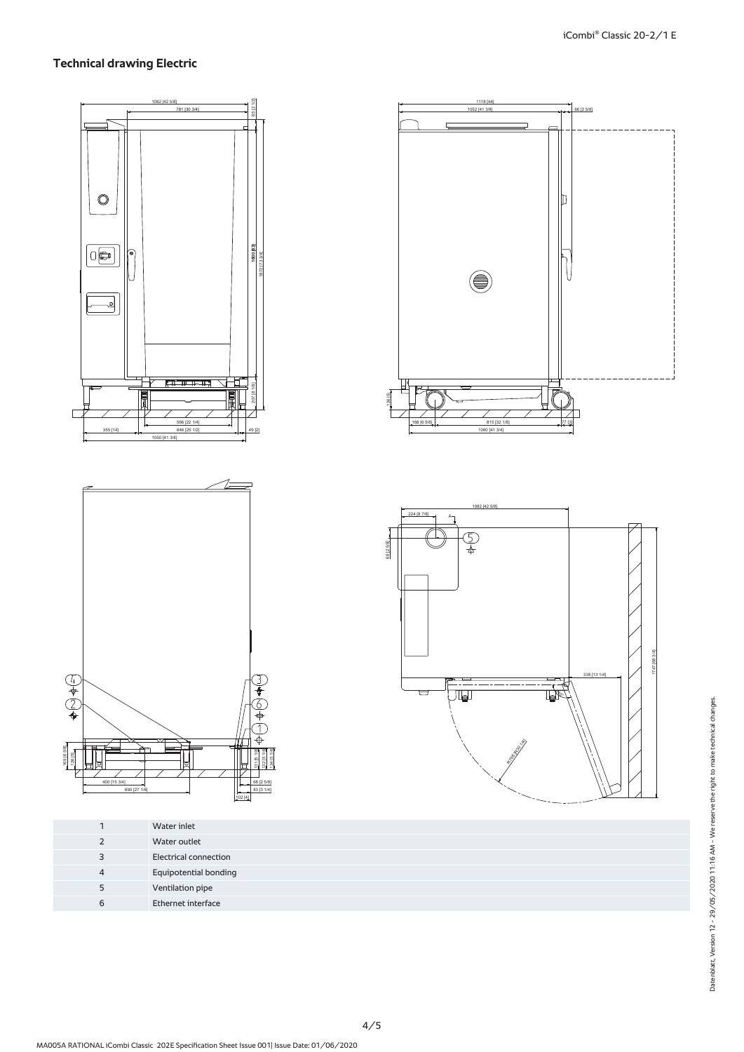## **Technical drawing Electric**